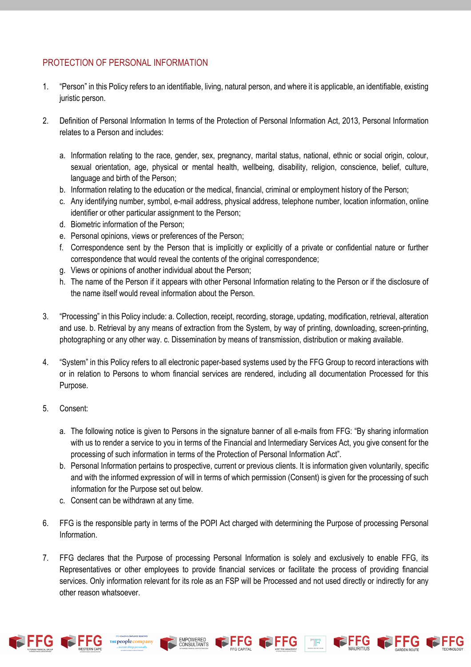## PROTECTION OF PERSONAL INFORMATION

- 1. "Person" in this Policy refers to an identifiable, living, natural person, and where it is applicable, an identifiable, existing juristic person.
- 2. Definition of Personal Information In terms of the Protection of Personal Information Act, 2013, Personal Information relates to a Person and includes:
	- a. Information relating to the race, gender, sex, pregnancy, marital status, national, ethnic or social origin, colour, sexual orientation, age, physical or mental health, wellbeing, disability, religion, conscience, belief, culture, language and birth of the Person;
	- b. Information relating to the education or the medical, financial, criminal or employment history of the Person;
	- c. Any identifying number, symbol, e-mail address, physical address, telephone number, location information, online identifier or other particular assignment to the Person;
	- d. Biometric information of the Person;
	- e. Personal opinions, views or preferences of the Person;
	- f. Correspondence sent by the Person that is implicitly or explicitly of a private or confidential nature or further correspondence that would reveal the contents of the original correspondence;
	- g. Views or opinions of another individual about the Person;
	- h. The name of the Person if it appears with other Personal Information relating to the Person or if the disclosure of the name itself would reveal information about the Person.
- 3. "Processing" in this Policy include: a. Collection, receipt, recording, storage, updating, modification, retrieval, alteration and use. b. Retrieval by any means of extraction from the System, by way of printing, downloading, screen-printing, photographing or any other way. c. Dissemination by means of transmission, distribution or making available.
- 4. "System" in this Policy refers to all electronic paper-based systems used by the FFG Group to record interactions with or in relation to Persons to whom financial services are rendered, including all documentation Processed for this Purpose.
- 5. Consent:
	- a. The following notice is given to Persons in the signature banner of all e-mails from FFG: "By sharing information with us to render a service to you in terms of the Financial and Intermediary Services Act, you give consent for the processing of such information in terms of the Protection of Personal Information Act".
	- b. Personal Information pertains to prospective, current or previous clients. It is information given voluntarily, specific and with the informed expression of will in terms of which permission (Consent) is given for the processing of such information for the Purpose set out below.
	- c. Consent can be withdrawn at any time.
- 6. FFG is the responsible party in terms of the POPI Act charged with determining the Purpose of processing Personal Information.
- 7. FFG declares that the Purpose of processing Personal Information is solely and exclusively to enable FFG, its Representatives or other employees to provide financial services or facilitate the process of providing financial services. Only information relevant for its role as an FSP will be Processed and not used directly or indirectly for any other reason whatsoever.